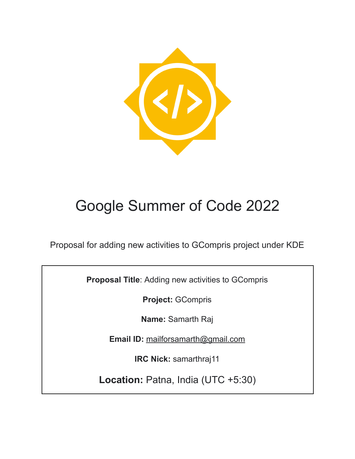

# Google Summer of Code 2022

Proposal for adding new activities to GCompris project under KDE

**Proposal Title**: Adding new activities to GCompris

**Project:** GCompris

**Name:** Samarth Raj

**Email ID:** [mailforsamarth@gmail.com](mailto:mailforsamarth@gmail.com)

**IRC Nick:** samarthraj11

**Location:** Patna, India (UTC +5:30)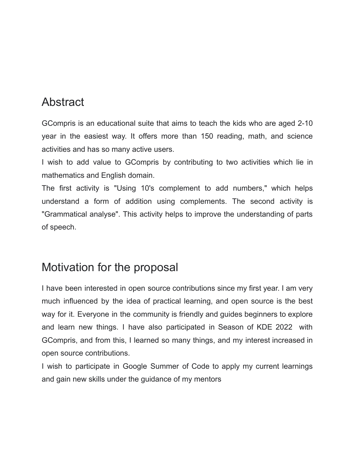### Abstract

GCompris is an educational suite that aims to teach the kids who are aged 2-10 year in the easiest way. It offers more than 150 reading, math, and science activities and has so many active users.

I wish to add value to GCompris by contributing to two activities which lie in mathematics and English domain.

The first activity is "Using 10's complement to add numbers," which helps understand a form of addition using complements. The second activity is "Grammatical analyse". This activity helps to improve the understanding of parts of speech.

### Motivation for the proposal

I have been interested in open source contributions since my first year. I am very much influenced by the idea of practical learning, and open source is the best way for it. Everyone in the community is friendly and guides beginners to explore and learn new things. I have also participated in Season of KDE 2022 with GCompris, and from this, I learned so many things, and my interest increased in open source contributions.

I wish to participate in Google Summer of Code to apply my current learnings and gain new skills under the guidance of my mentors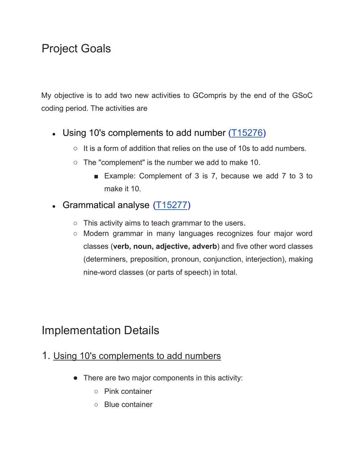## Project Goals

My objective is to add two new activities to GCompris by the end of the GSoC coding period. The activities are

- Using 10's complements to add number  $(T15276)$  $(T15276)$ 
	- $\circ$  It is a form of addition that relies on the use of 10s to add numbers.
	- $\circ$  The "complement" is the number we add to make 10.
		- Example: Complement of 3 is 7, because we add 7 to 3 to make it 10.
- Grammatical analyse  $(T15277)$  $(T15277)$ 
	- $\circ$  This activity aims to teach grammar to the users.
	- Modern grammar in many languages recognizes four major word classes (**verb, noun, adjective, adverb**) and five other word classes (determiners, preposition, pronoun, conjunction, interjection), making nine-word classes (or parts of speech) in total.

### Implementation Details

- 1. Using 10's [complements](https://phabricator.kde.org/T15276) to add numbers
	- There are two major components in this activity:
		- Pink container
		- Blue container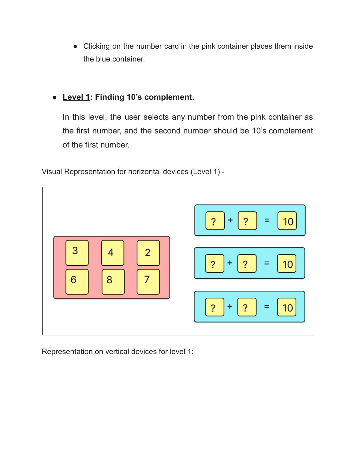● Clicking on the number card in the pink container places them inside the blue container.

#### **● Level 1: Finding 10's complement.**

In this level, the user selects any number from the pink container as the first number, and the second number should be 10's complement of the first number.

Visual Representation for horizontal devices (Level 1) -



Representation on vertical devices for level 1: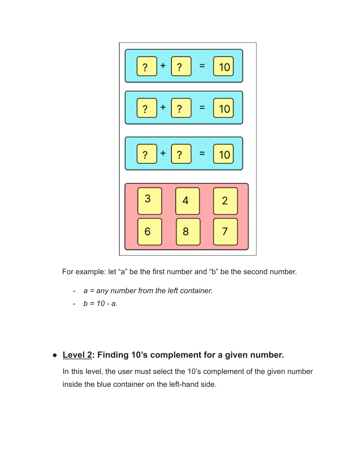

For example: let "a" be the first number and "b" be the second number.

- *a = any number from the left container.*
- $b = 10 a$ .

### **● Level 2: Finding 10's complement for a given number.**

In this level, the user must select the 10's complement of the given number inside the blue container on the left-hand side.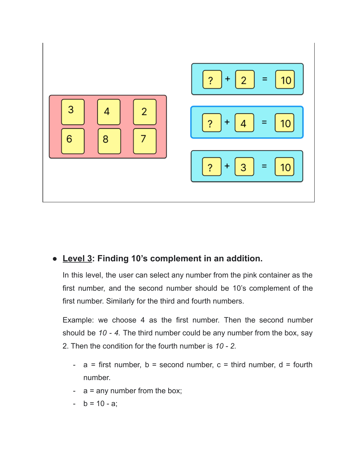

#### **● Level 3: Finding 10's complement in an addition.**

In this level, the user can select any number from the pink container as the first number, and the second number should be 10's complement of the first number. Similarly for the third and fourth numbers.

Example: we choose 4 as the first number. Then the second number should be *10 - 4.* The third number could be any number from the box, say 2. Then the condition for the fourth number is *10 - 2.*

- $a =$  first number,  $b =$  second number,  $c =$  third number,  $d =$  fourth number.
- a = any number from the box;
- $b = 10 a;$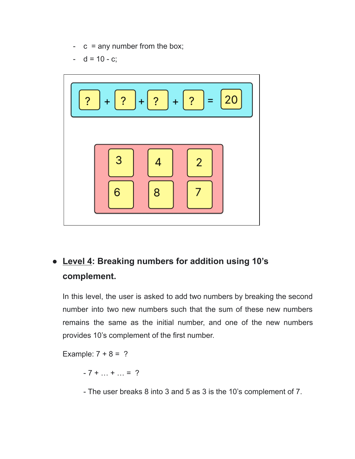- $-c = any number from the box;$
- $-d = 10 c;$



### **● Level 4: Breaking numbers for addition using 10's complement.**

In this level, the user is asked to add two numbers by breaking the second number into two new numbers such that the sum of these new numbers remains the same as the initial number, and one of the new numbers provides 10's complement of the first number.

Example:  $7 + 8 = ?$ 

 $-7 + ... + ... = ?$ 

- The user breaks 8 into 3 and 5 as 3 is the 10's complement of 7.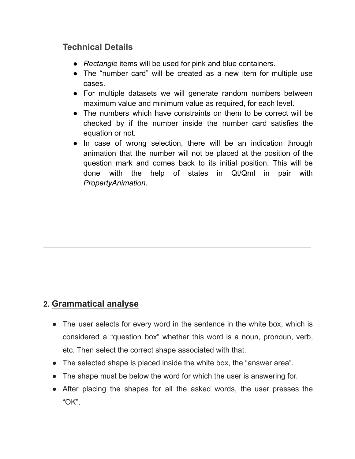#### **Technical Details**

- *Rectangle* items will be used for pink and blue containers.
- The "number card" will be created as a new item for multiple use cases.
- For multiple datasets we will generate random numbers between maximum value and minimum value as required, for each level.
- The numbers which have constraints on them to be correct will be checked by if the number inside the number card satisfies the equation or not.
- In case of wrong selection, there will be an indication through animation that the number will not be placed at the position of the question mark and comes back to its initial position. This will be done with the help of states in Qt/Qml in pair with *PropertyAnimation*.

### **2. [Grammatical analyse](https://phabricator.kde.org/T15277)**

- The user selects for every word in the sentence in the white box, which is considered a "question box" whether this word is a noun, pronoun, verb, etc. Then select the correct shape associated with that.
- The selected shape is placed inside the white box, the "answer area".
- The shape must be below the word for which the user is answering for.
- After placing the shapes for all the asked words, the user presses the "OK".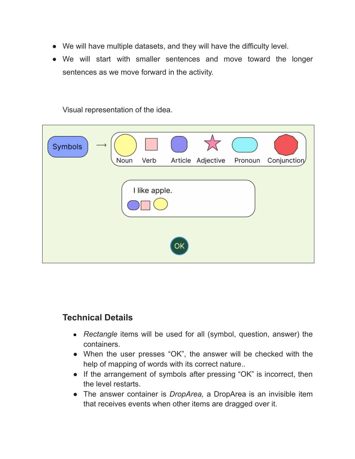- We will have multiple datasets, and they will have the difficulty level.
- We will start with smaller sentences and move toward the longer sentences as we move forward in the activity.

Visual representation of the idea.

| Symbols       | Noun | Verb |  | $\overline{\Sigma}_{\rm eff}$<br>Article Adjective Pronoun |  | Conjunction |
|---------------|------|------|--|------------------------------------------------------------|--|-------------|
| I like apple. |      |      |  |                                                            |  |             |
| <b>OK</b>     |      |      |  |                                                            |  |             |

#### **Technical Details**

- *Rectangle* items will be used for all (symbol, question, answer) the containers.
- When the user presses "OK", the answer will be checked with the help of mapping of words with its correct nature..
- If the arrangement of symbols after pressing "OK" is incorrect, then the level restarts.
- The answer container is *DropArea,* a DropArea is an invisible item that receives events when other items are dragged over it.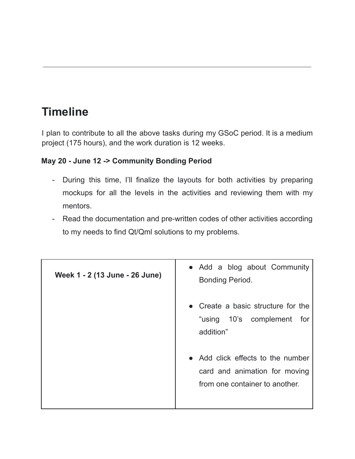# **Timeline**

I plan to contribute to all the above tasks during my GSoC period. It is a medium project (175 hours), and the work duration is 12 weeks.

#### **May 20 - June 12 -> Community Bonding Period**

- During this time, I'll finalize the layouts for both activities by preparing mockups for all the levels in the activities and reviewing them with my mentors.
- Read the documentation and pre-written codes of other activities according to my needs to find Qt/Qml solutions to my problems.

| Week 1 - 2 (13 June - 26 June) | • Add a blog about Community<br>Bonding Period.                                                                                                                                       |
|--------------------------------|---------------------------------------------------------------------------------------------------------------------------------------------------------------------------------------|
|                                | • Create a basic structure for the<br>"using 10's complement for<br>addition"<br>• Add click effects to the number<br>card and animation for moving<br>from one container to another. |
|                                |                                                                                                                                                                                       |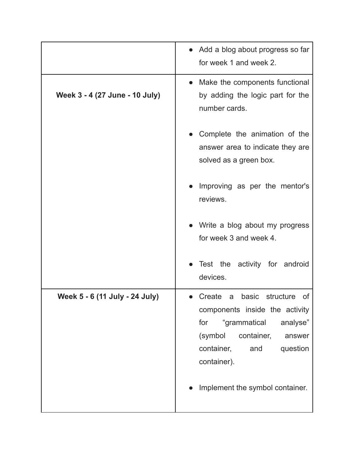|                                | • Add a blog about progress so far<br>for week 1 and week 2.                                                                                                                                                                       |
|--------------------------------|------------------------------------------------------------------------------------------------------------------------------------------------------------------------------------------------------------------------------------|
| Week 3 - 4 (27 June - 10 July) | • Make the components functional<br>by adding the logic part for the<br>number cards.                                                                                                                                              |
|                                | Complete the animation of the<br>answer area to indicate they are<br>solved as a green box.                                                                                                                                        |
|                                | Improving as per the mentor's<br>reviews.                                                                                                                                                                                          |
|                                | Write a blog about my progress<br>for week 3 and week 4.                                                                                                                                                                           |
|                                | • Test the activity for android<br>devices.                                                                                                                                                                                        |
| Week 5 - 6 (11 July - 24 July) | Create<br>basic<br>structure<br>of<br>a<br>components inside the activity<br>"grammatical<br>for<br>analyse"<br>(symbol<br>container,<br>answer<br>container,<br>and<br>question<br>container).<br>Implement the symbol container. |
|                                |                                                                                                                                                                                                                                    |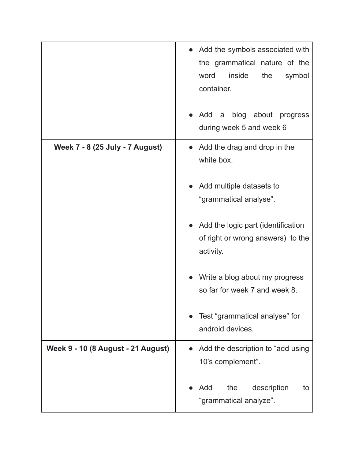|                                    | Add the symbols associated with<br>the grammatical nature of the<br>word<br>inside<br>the<br>symbol<br>container. |
|------------------------------------|-------------------------------------------------------------------------------------------------------------------|
|                                    | Add<br>blog about progress<br>a<br>during week 5 and week 6                                                       |
| Week 7 - 8 (25 July - 7 August)    | Add the drag and drop in the<br>white box.                                                                        |
|                                    | Add multiple datasets to<br>"grammatical analyse".                                                                |
|                                    | Add the logic part (identification<br>of right or wrong answers) to the<br>activity.                              |
|                                    | Write a blog about my progress<br>so far for week 7 and week 8.                                                   |
|                                    | Test "grammatical analyse" for<br>android devices.                                                                |
| Week 9 - 10 (8 August - 21 August) | Add the description to "add using<br>10's complement".                                                            |
|                                    | the<br>description<br>Add<br>to<br>"grammatical analyze".                                                         |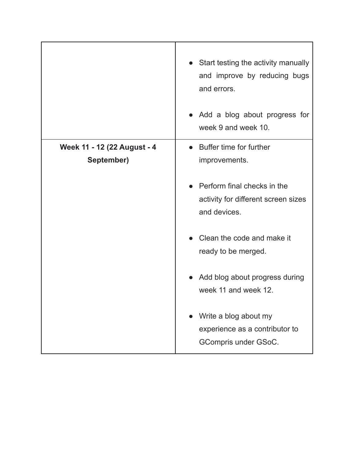|                             | • Start testing the activity manually<br>and improve by reducing bugs<br>and errors.<br>• Add a blog about progress for<br>week 9 and week 10. |
|-----------------------------|------------------------------------------------------------------------------------------------------------------------------------------------|
| Week 11 - 12 (22 August - 4 | • Buffer time for further                                                                                                                      |
| September)                  | improvements.                                                                                                                                  |
|                             | Perform final checks in the<br>activity for different screen sizes<br>and devices.                                                             |
|                             | Clean the code and make it                                                                                                                     |
|                             | ready to be merged.                                                                                                                            |
|                             | • Add blog about progress during<br>week 11 and week 12.                                                                                       |
|                             | Write a blog about my                                                                                                                          |
|                             | experience as a contributor to                                                                                                                 |
|                             | GCompris under GSoC.                                                                                                                           |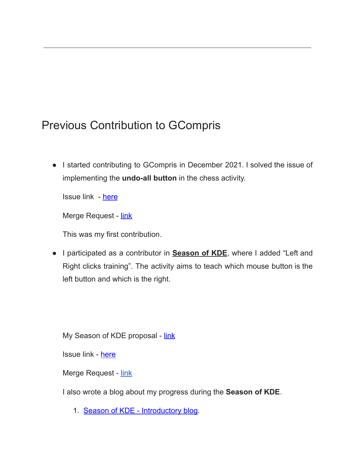## Previous Contribution to GCompris

● I started contributing to GCompris in December 2021. I solved the issue of implementing the **undo-all button** in the chess activity.

Issue link - [here](https://phabricator.kde.org/T13717)

Merge Request - [link](https://invent.kde.org/education/gcompris/-/merge_requests/91)

This was my first contribution.

● I participated as a contributor in **Season of KDE**, where I added "Left and Right clicks training". The activity aims to teach which mouse button is the left button and which is the right.

My Season of KDE proposal - [link](https://docs.google.com/document/d/1kQgOljPX1wi2w6IX8rxEglZtoNsZixGX-PXeHuuin9A/edit)

Issue link - [here](https://phabricator.kde.org/T15124)

Merge Request - [link](https://invent.kde.org/education/gcompris/-/merge_requests/94)

I also wrote a blog about my progress during the **Season of KDE**.

1. Season of KDE - [Introductory](https://samarthrajwrites.wordpress.com/2022/01/28/season-of-kde-2022/) blog.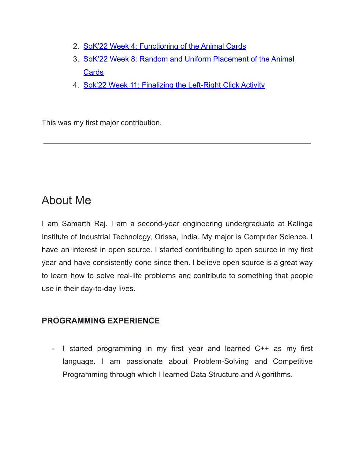- 2. SoK'22 Week 4: [Functioning](https://samarthrajwrites.wordpress.com/2022/02/19/sok22-week-4-functioning-of-the-animal-cards/) of the Animal Cards
- 3. SoK'22 Week 8: Random and Uniform [Placement](https://samarthrajwrites.wordpress.com/2022/03/15/sok22-week-8-random-and-uniform-placement-of-the-animal-cards/) of the Animal **[Cards](https://samarthrajwrites.wordpress.com/2022/03/15/sok22-week-8-random-and-uniform-placement-of-the-animal-cards/)**
- 4. Sok'22 Week 11: Finalizing the [Left-Right](https://samarthrajwrites.wordpress.com/2022/04/08/sok22-week-11-finalizing-the-left-right-click-activity/) Click Activity

This was my first major contribution.

### About Me

I am Samarth Raj. I am a second-year engineering undergraduate at Kalinga Institute of Industrial Technology, Orissa, India. My major is Computer Science. I have an interest in open source. I started contributing to open source in my first year and have consistently done since then. I believe open source is a great way to learn how to solve real-life problems and contribute to something that people use in their day-to-day lives.

#### **PROGRAMMING EXPERIENCE**

- I started programming in my first year and learned C++ as my first language. I am passionate about Problem-Solving and Competitive Programming through which I learned Data Structure and Algorithms.